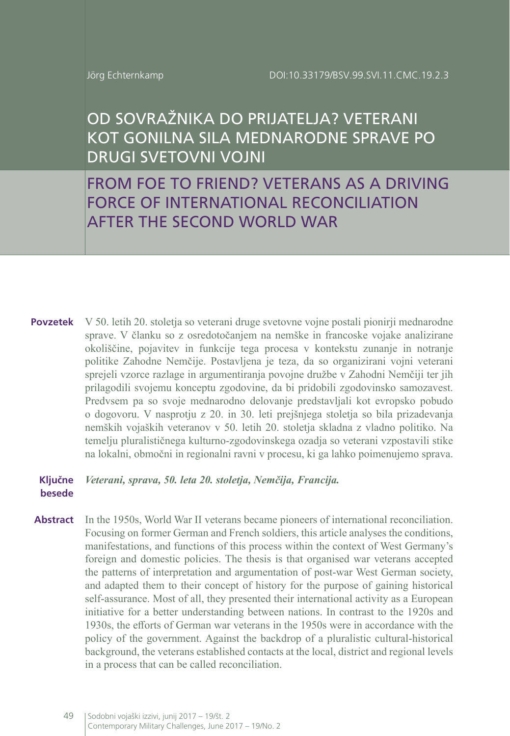# OD SOVRAŽNIKA DO PRIJATELJA? VETERANI KOT GONILNA SILA MEDNARODNE SPRAVE PO DRUGI SVETOVNI VOJNI

FROM FOE TO FRIEND? VETERANS AS A DRIVING FORCE OF INTERNATIONAL RECONCILIATION AFTER THE SECOND WORLD WAR

V 50. letih 20. stoletja so veterani druge svetovne vojne postali pionirji mednarodne **Povzetek** sprave. V članku so z osredotočanjem na nemške in francoske vojake analizirane okoliščine, pojavitev in funkcije tega procesa v kontekstu zunanje in notranje politike Zahodne Nemčije. Postavljena je teza, da so organizirani vojni veterani sprejeli vzorce razlage in argumentiranja povojne družbe v Zahodni Nemčiji ter jih prilagodili svojemu konceptu zgodovine, da bi pridobili zgodovinsko samozavest. Predvsem pa so svoje mednarodno delovanje predstavljali kot evropsko pobudo o dogovoru. V nasprotju z 20. in 30. leti prejšnjega stoletja so bila prizadevanja nemških vojaških veteranov v 50. letih 20. stoletja skladna z vladno politiko. Na temelju pluralističnega kulturno-zgodovinskega ozadja so veterani vzpostavili stike na lokalni, območni in regionalni ravni v procesu, ki ga lahko poimenujemo sprava.

#### **Ključne**  Veterani, sprava, 50. leta 20. stoletja, Nemčija, Francija. **besede**

**Abstract** In the 1950s, World War II veterans became pioneers of international reconciliation. Focusing on former German and French soldiers, this article analyses the conditions, manifestations, and functions of this process within the context of West Germany's foreign and domestic policies. The thesis is that organised war veterans accepted the patterns of interpretation and argumentation of post-war West German society, and adapted them to their concept of history for the purpose of gaining historical self-assurance. Most of all, they presented their international activity as a European initiative for a better understanding between nations. In contrast to the 1920s and 1930s, the efforts of German war veterans in the 1950s were in accordance with the policy of the government. Against the backdrop of a pluralistic cultural-historical background, the veterans established contacts at the local, district and regional levels in a process that can be called reconciliation.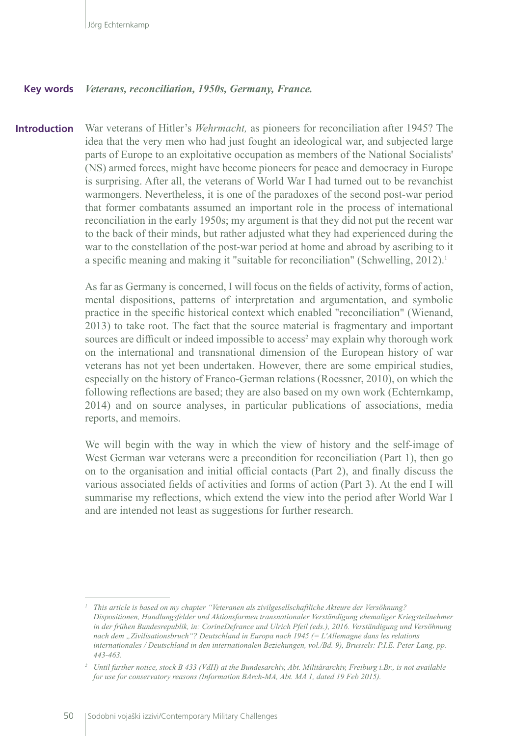#### *Veterans, reconciliation, 1950s, Germany, France.* **Key words**

War veterans of Hitler's *Wehrmacht,* as pioneers for reconciliation after 1945? The idea that the very men who had just fought an ideological war, and subjected large parts of Europe to an exploitative occupation as members of the National Socialists' (NS) armed forces, might have become pioneers for peace and democracy in Europe is surprising. After all, the veterans of World War I had turned out to be revanchist warmongers. Nevertheless, it is one of the paradoxes of the second post-war period that former combatants assumed an important role in the process of international reconciliation in the early 1950s; my argument is that they did not put the recent war to the back of their minds, but rather adjusted what they had experienced during the war to the constellation of the post-war period at home and abroad by ascribing to it a specific meaning and making it "suitable for reconciliation" (Schwelling, 2012).<sup>1</sup> **Introduction**

> As far as Germany is concerned, I will focus on the fields of activity, forms of action, mental dispositions, patterns of interpretation and argumentation, and symbolic practice in the specific historical context which enabled "reconciliation" (Wienand, 2013) to take root. The fact that the source material is fragmentary and important sources are difficult or indeed impossible to access<sup>2</sup> may explain why thorough work on the international and transnational dimension of the European history of war veterans has not yet been undertaken. However, there are some empirical studies, especially on the history of Franco-German relations (Roessner, 2010), on which the following reflections are based; they are also based on my own work (Echternkamp, 2014) and on source analyses, in particular publications of associations, media reports, and memoirs.

> We will begin with the way in which the view of history and the self-image of West German war veterans were a precondition for reconciliation (Part 1), then go on to the organisation and initial official contacts (Part 2), and finally discuss the various associated fields of activities and forms of action (Part 3). At the end I will summarise my reflections, which extend the view into the period after World War I and are intended not least as suggestions for further research.

*<sup>1</sup> This article is based on my chapter "Veteranen als zivilgesellschaftliche Akteure der Versöhnung? Dispositionen, Handlungsfelder und Aktionsformen transnationaler Verständigung ehemaliger Kriegsteilnehmer in der frühen Bundesrepublik, in: CorineDefrance und Ulrich Pfeil (eds.), 2016. Verständigung und Versöhnung nach dem "Zivilisationsbruch"? Deutschland in Europa nach 1945 (= L'Allemagne dans les relations internationales / Deutschland in den internationalen Beziehungen, vol./Bd. 9), Brussels: P.I.E. Peter Lang, pp. 443-463.*

*<sup>2</sup> Until further notice, stock B 433 (VdH) at the Bundesarchiv, Abt. Militärarchiv, Freiburg i.Br., is not available for use for conservatory reasons (Information BArch-MA, Abt. MA 1, dated 19 Feb 2015).*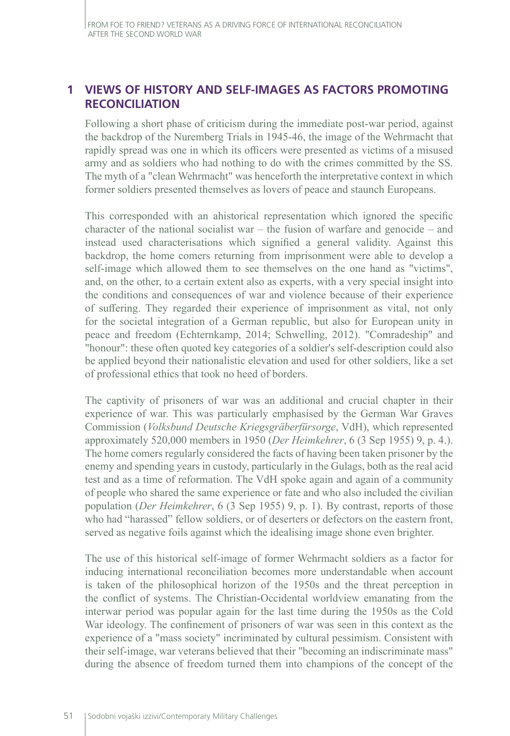### **1 VIEWS OF HISTORY AND SELF-IMAGES AS FACTORS PROMOTING RECONCILIATION**

Following a short phase of criticism during the immediate post-war period, against the backdrop of the Nuremberg Trials in 1945-46, the image of the Wehrmacht that rapidly spread was one in which its officers were presented as victims of a misused army and as soldiers who had nothing to do with the crimes committed by the SS. The myth of a "clean Wehrmacht" was henceforth the interpretative context in which former soldiers presented themselves as lovers of peace and staunch Europeans.

This corresponded with an ahistorical representation which ignored the specific character of the national socialist war – the fusion of warfare and genocide – and instead used characterisations which signified a general validity. Against this backdrop, the home comers returning from imprisonment were able to develop a self-image which allowed them to see themselves on the one hand as "victims", and, on the other, to a certain extent also as experts, with a very special insight into the conditions and consequences of war and violence because of their experience of suffering. They regarded their experience of imprisonment as vital, not only for the societal integration of a German republic, but also for European unity in peace and freedom (Echternkamp, 2014; Schwelling, 2012). "Comradeship" and "honour": these often quoted key categories of a soldier's self-description could also be applied beyond their nationalistic elevation and used for other soldiers, like a set of professional ethics that took no heed of borders.

The captivity of prisoners of war was an additional and crucial chapter in their experience of war. This was particularly emphasised by the German War Graves Commission (*Volksbund Deutsche Kriegsgräberfürsorge*, VdH), which represented approximately 520,000 members in 1950 (*Der Heimkehrer*, 6 (3 Sep 1955) 9, p. 4.). The home comers regularly considered the facts of having been taken prisoner by the enemy and spending years in custody, particularly in the Gulags, both as the real acid test and as a time of reformation. The VdH spoke again and again of a community of people who shared the same experience or fate and who also included the civilian population (*Der Heimkehrer*, 6 (3 Sep 1955) 9, p. 1). By contrast, reports of those who had "harassed" fellow soldiers, or of deserters or defectors on the eastern front, served as negative foils against which the idealising image shone even brighter.

The use of this historical self-image of former Wehrmacht soldiers as a factor for inducing international reconciliation becomes more understandable when account is taken of the philosophical horizon of the 1950s and the threat perception in the conflict of systems. The Christian-Occidental worldview emanating from the interwar period was popular again for the last time during the 1950s as the Cold War ideology. The confinement of prisoners of war was seen in this context as the experience of a "mass society" incriminated by cultural pessimism. Consistent with their self-image, war veterans believed that their "becoming an indiscriminate mass" during the absence of freedom turned them into champions of the concept of the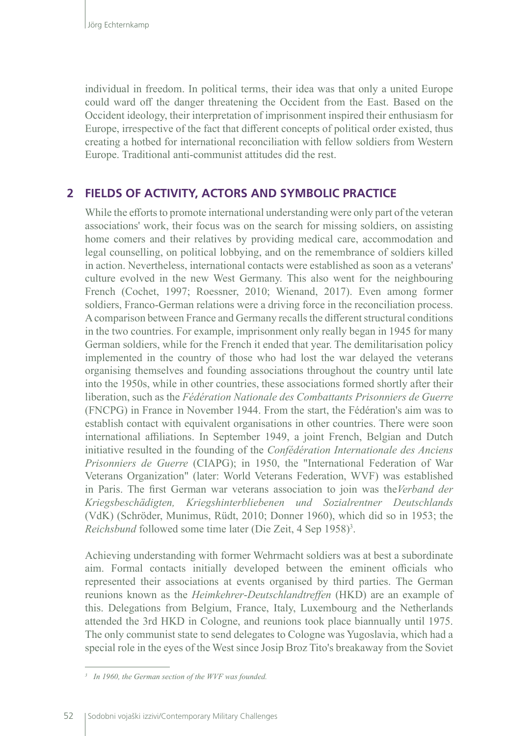individual in freedom. In political terms, their idea was that only a united Europe could ward off the danger threatening the Occident from the East. Based on the Occident ideology, their interpretation of imprisonment inspired their enthusiasm for Europe, irrespective of the fact that different concepts of political order existed, thus creating a hotbed for international reconciliation with fellow soldiers from Western Europe. Traditional anti-communist attitudes did the rest.

## **2 FIELDS OF ACTIVITY, ACTORS AND SYMBOLIC PRACTICE**

While the efforts to promote international understanding were only part of the veteran associations' work, their focus was on the search for missing soldiers, on assisting home comers and their relatives by providing medical care, accommodation and legal counselling, on political lobbying, and on the remembrance of soldiers killed in action. Nevertheless, international contacts were established as soon as a veterans' culture evolved in the new West Germany. This also went for the neighbouring French (Cochet, 1997; Roessner, 2010; Wienand, 2017). Even among former soldiers, Franco-German relations were a driving force in the reconciliation process. A comparison between France and Germany recalls the different structural conditions in the two countries. For example, imprisonment only really began in 1945 for many German soldiers, while for the French it ended that year. The demilitarisation policy implemented in the country of those who had lost the war delayed the veterans organising themselves and founding associations throughout the country until late into the 1950s, while in other countries, these associations formed shortly after their liberation, such as the *Fédération Nationale des Combattants Prisonniers de Guerre* (FNCPG) in France in November 1944. From the start, the Fédération's aim was to establish contact with equivalent organisations in other countries. There were soon international affiliations. In September 1949, a joint French, Belgian and Dutch initiative resulted in the founding of the *Confédération Internationale des Anciens Prisonniers de Guerre* (CIAPG); in 1950, the "International Federation of War Veterans Organization" (later: World Veterans Federation, WVF) was established in Paris. The first German war veterans association to join was the*Verband der Kriegsbeschädigten, Kriegshinterbliebenen und Sozialrentner Deutschlands* (VdK) (Schröder, Munimus, Rüdt, 2010; Donner 1960), which did so in 1953; the Reichsbund followed some time later (Die Zeit, 4 Sep 1958)<sup>3</sup>.

Achieving understanding with former Wehrmacht soldiers was at best a subordinate aim. Formal contacts initially developed between the eminent officials who represented their associations at events organised by third parties. The German reunions known as the *Heimkehrer*‑*Deutschlandtreffen* (HKD) are an example of this. Delegations from Belgium, France, Italy, Luxembourg and the Netherlands attended the 3rd HKD in Cologne, and reunions took place biannually until 1975. The only communist state to send delegates to Cologne was Yugoslavia, which had a special role in the eyes of the West since Josip Broz Tito's breakaway from the Soviet

*<sup>3</sup> In 1960, the German section of the WVF was founded.*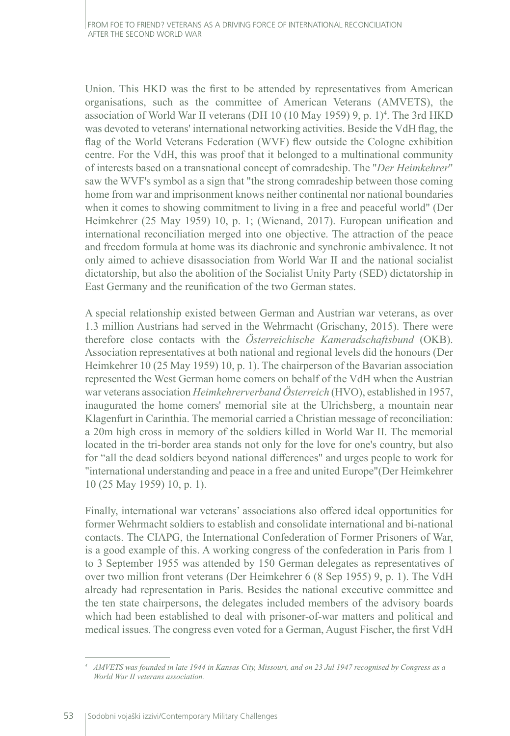Union. This HKD was the first to be attended by representatives from American organisations, such as the committee of American Veterans (AMVETS), the association of World War II veterans (DH 10 (10 May 1959) 9, p. 1)<sup>4</sup>. The 3rd HKD was devoted to veterans' international networking activities. Beside the VdH flag, the flag of the World Veterans Federation (WVF) flew outside the Cologne exhibition centre. For the VdH, this was proof that it belonged to a multinational community of interests based on a transnational concept of comradeship. The "*Der Heimkehrer*" saw the WVF's symbol as a sign that "the strong comradeship between those coming home from war and imprisonment knows neither continental nor national boundaries when it comes to showing commitment to living in a free and peaceful world" (Der Heimkehrer (25 May 1959) 10, p. 1; (Wienand, 2017). European unification and international reconciliation merged into one objective. The attraction of the peace and freedom formula at home was its diachronic and synchronic ambivalence. It not only aimed to achieve disassociation from World War II and the national socialist dictatorship, but also the abolition of the Socialist Unity Party (SED) dictatorship in East Germany and the reunification of the two German states.

A special relationship existed between German and Austrian war veterans, as over 1.3 million Austrians had served in the Wehrmacht (Grischany, 2015). There were therefore close contacts with the *Österreichische Kameradschaftsbund* (OKB). Association representatives at both national and regional levels did the honours (Der Heimkehrer 10 (25 May 1959) 10, p. 1). The chairperson of the Bavarian association represented the West German home comers on behalf of the VdH when the Austrian war veterans association *Heimkehrerverband Österreich* (HVO), established in 1957, inaugurated the home comers' memorial site at the Ulrichsberg, a mountain near Klagenfurt in Carinthia. The memorial carried a Christian message of reconciliation: a 20m high cross in memory of the soldiers killed in World War II. The memorial located in the tri-border area stands not only for the love for one's country, but also for "all the dead soldiers beyond national differences" and urges people to work for "international understanding and peace in a free and united Europe"(Der Heimkehrer 10 (25 May 1959) 10, p. 1).

Finally, international war veterans' associations also offered ideal opportunities for former Wehrmacht soldiers to establish and consolidate international and bi-national contacts. The CIAPG, the International Confederation of Former Prisoners of War, is a good example of this. A working congress of the confederation in Paris from 1 to 3 September 1955 was attended by 150 German delegates as representatives of over two million front veterans (Der Heimkehrer 6 (8 Sep 1955) 9, p. 1). The VdH already had representation in Paris. Besides the national executive committee and the ten state chairpersons, the delegates included members of the advisory boards which had been established to deal with prisoner-of-war matters and political and medical issues. The congress even voted for a German, August Fischer, the first VdH

*<sup>4</sup> AMVETS was founded in late 1944 in Kansas City, Missouri, and on 23 Jul 1947 recognised by Congress as a World War II veterans association.*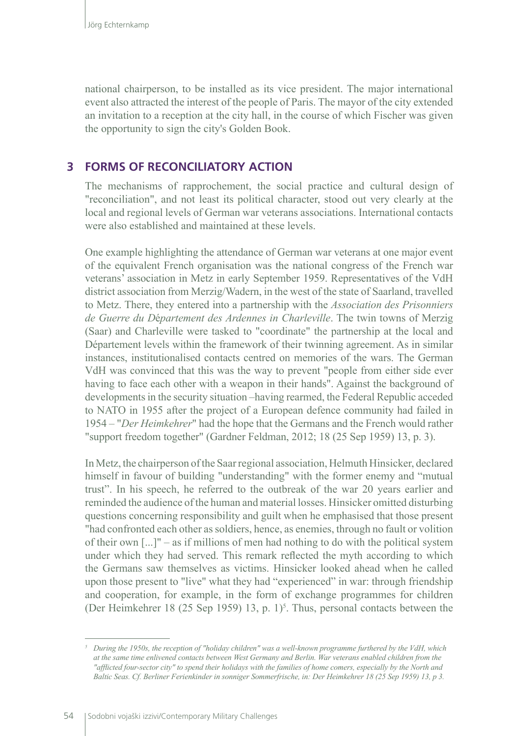national chairperson, to be installed as its vice president. The major international event also attracted the interest of the people of Paris. The mayor of the city extended an invitation to a reception at the city hall, in the course of which Fischer was given the opportunity to sign the city's Golden Book.

### **3 FORMS OF RECONCILIATORY ACTION**

The mechanisms of rapprochement, the social practice and cultural design of "reconciliation", and not least its political character, stood out very clearly at the local and regional levels of German war veterans associations. International contacts were also established and maintained at these levels.

One example highlighting the attendance of German war veterans at one major event of the equivalent French organisation was the national congress of the French war veterans' association in Metz in early September 1959. Representatives of the VdH district association from Merzig/Wadern, in the west of the state of Saarland, travelled to Metz. There, they entered into a partnership with the *Association des Prisonniers de Guerre du D*é*partement des Ardennes in Charleville*. The twin towns of Merzig (Saar) and Charleville were tasked to "coordinate" the partnership at the local and Département levels within the framework of their twinning agreement. As in similar instances, institutionalised contacts centred on memories of the wars. The German VdH was convinced that this was the way to prevent "people from either side ever having to face each other with a weapon in their hands". Against the background of developments in the security situation –having rearmed, the Federal Republic acceded to NATO in 1955 after the project of a European defence community had failed in 1954 – "*Der Heimkehrer*" had the hope that the Germans and the French would rather "support freedom together" (Gardner Feldman, 2012; 18 (25 Sep 1959) 13, p. 3).

In Metz, the chairperson of the Saar regional association, Helmuth Hinsicker, declared himself in favour of building "understanding" with the former enemy and "mutual trust". In his speech, he referred to the outbreak of the war 20 years earlier and reminded the audience of the human and material losses. Hinsicker omitted disturbing questions concerning responsibility and guilt when he emphasised that those present "had confronted each other as soldiers, hence, as enemies, through no fault or volition of their own  $\lceil ... \rceil$ " – as if millions of men had nothing to do with the political system under which they had served. This remark reflected the myth according to which the Germans saw themselves as victims. Hinsicker looked ahead when he called upon those present to "live" what they had "experienced" in war: through friendship and cooperation, for example, in the form of exchange programmes for children (Der Heimkehrer 18 (25 Sep 1959) 13, p.  $1$ <sup>5</sup>. Thus, personal contacts between the

*<sup>5</sup> During the 1950s, the reception of "holiday children" was a well-known programme furthered by the VdH, which at the same time enlivened contacts between West Germany and Berlin. War veterans enabled children from the "afflicted four-sector city" to spend their holidays with the families of home comers, especially by the North and Baltic Seas. Cf. Berliner Ferienkinder in sonniger Sommerfrische, in: Der Heimkehrer 18 (25 Sep 1959) 13, p 3.*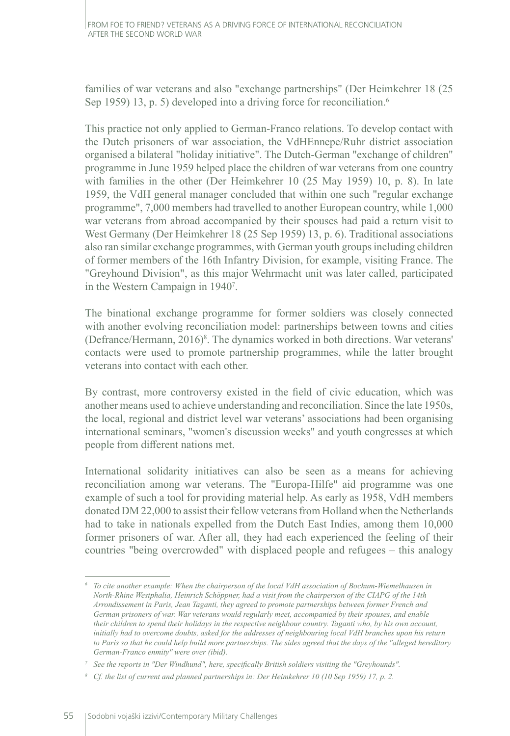families of war veterans and also "exchange partnerships" (Der Heimkehrer 18 (25 Sep 1959) 13, p. 5) developed into a driving force for reconciliation.<sup>6</sup>

This practice not only applied to German-Franco relations. To develop contact with the Dutch prisoners of war association, the VdHEnnepe/Ruhr district association organised a bilateral "holiday initiative". The Dutch-German "exchange of children" programme in June 1959 helped place the children of war veterans from one country with families in the other (Der Heimkehrer 10 (25 May 1959) 10, p. 8). In late 1959, the VdH general manager concluded that within one such "regular exchange programme", 7,000 members had travelled to another European country, while 1,000 war veterans from abroad accompanied by their spouses had paid a return visit to West Germany (Der Heimkehrer 18 (25 Sep 1959) 13, p. 6). Traditional associations also ran similar exchange programmes, with German youth groups including children of former members of the 16th Infantry Division, for example, visiting France. The "Greyhound Division", as this major Wehrmacht unit was later called, participated in the Western Campaign in 1940<sup>7</sup> .

The binational exchange programme for former soldiers was closely connected with another evolving reconciliation model: partnerships between towns and cities (Defrance/Hermann, 2016)8 . The dynamics worked in both directions. War veterans' contacts were used to promote partnership programmes, while the latter brought veterans into contact with each other.

By contrast, more controversy existed in the field of civic education, which was another means used to achieve understanding and reconciliation. Since the late 1950s, the local, regional and district level war veterans' associations had been organising international seminars, "women's discussion weeks" and youth congresses at which people from different nations met.

International solidarity initiatives can also be seen as a means for achieving reconciliation among war veterans. The "Europa-Hilfe" aid programme was one example of such a tool for providing material help. As early as 1958, VdH members donated DM 22,000 to assist their fellow veterans from Holland when the Netherlands had to take in nationals expelled from the Dutch East Indies, among them 10,000 former prisoners of war. After all, they had each experienced the feeling of their countries "being overcrowded" with displaced people and refugees – this analogy

*<sup>6</sup> To cite another example: When the chairperson of the local VdH association of Bochum-Wiemelhausen in North-Rhine Westphalia, Heinrich Schöppner, had a visit from the chairperson of the CIAPG of the 14th Arrondissement in Paris, Jean Taganti, they agreed to promote partnerships between former French and German prisoners of war. War veterans would regularly meet, accompanied by their spouses, and enable their children to spend their holidays in the respective neighbour country. Taganti who, by his own account, initially had to overcome doubts, asked for the addresses of neighbouring local VdH branches upon his return to Paris so that he could help build more partnerships. The sides agreed that the days of the "alleged hereditary German-Franco enmity" were over (ibid).*

*<sup>7</sup> See the reports in "Der Windhund", here, specifically British soldiers visiting the "Greyhounds".*

*<sup>8</sup> Cf. the list of current and planned partnerships in: Der Heimkehrer 10 (10 Sep 1959) 17, p. 2.*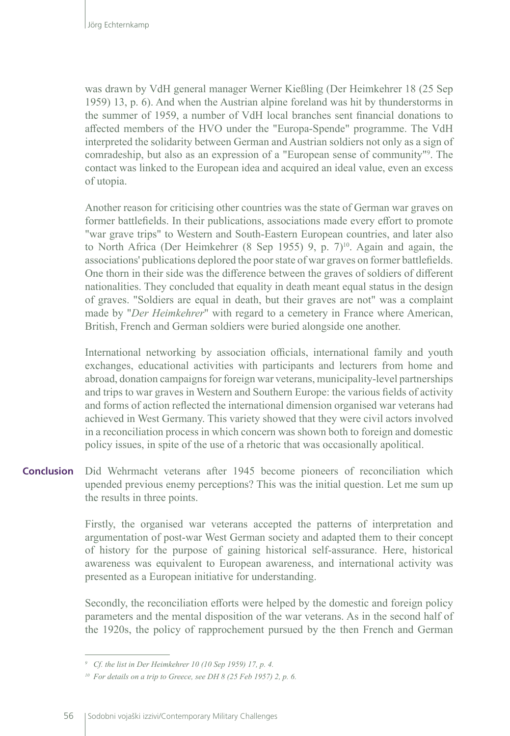was drawn by VdH general manager Werner Kießling (Der Heimkehrer 18 (25 Sep 1959) 13, p. 6). And when the Austrian alpine foreland was hit by thunderstorms in the summer of 1959, a number of VdH local branches sent financial donations to affected members of the HVO under the "Europa-Spende" programme. The VdH interpreted the solidarity between German and Austrian soldiers not only as a sign of comradeship, but also as an expression of a "European sense of community"<sup>9</sup> . The contact was linked to the European idea and acquired an ideal value, even an excess of utopia.

Another reason for criticising other countries was the state of German war graves on former battlefields. In their publications, associations made every effort to promote "war grave trips" to Western and South-Eastern European countries, and later also to North Africa (Der Heimkehrer  $(8 \text{ Sep } 1955)$  9, p.  $7)^{10}$ . Again and again, the associations' publications deplored the poor state of war graves on former battlefields. One thorn in their side was the difference between the graves of soldiers of different nationalities. They concluded that equality in death meant equal status in the design of graves. "Soldiers are equal in death, but their graves are not" was a complaint made by "*Der Heimkehrer*" with regard to a cemetery in France where American, British, French and German soldiers were buried alongside one another.

International networking by association officials, international family and youth exchanges, educational activities with participants and lecturers from home and abroad, donation campaigns for foreign war veterans, municipality-level partnerships and trips to war graves in Western and Southern Europe: the various fields of activity and forms of action reflected the international dimension organised war veterans had achieved in West Germany. This variety showed that they were civil actors involved in a reconciliation process in which concern was shown both to foreign and domestic policy issues, in spite of the use of a rhetoric that was occasionally apolitical.

Did Wehrmacht veterans after 1945 become pioneers of reconciliation which upended previous enemy perceptions? This was the initial question. Let me sum up the results in three points. **Conclusion**

> Firstly, the organised war veterans accepted the patterns of interpretation and argumentation of post-war West German society and adapted them to their concept of history for the purpose of gaining historical self-assurance. Here, historical awareness was equivalent to European awareness, and international activity was presented as a European initiative for understanding.

> Secondly, the reconciliation efforts were helped by the domestic and foreign policy parameters and the mental disposition of the war veterans. As in the second half of the 1920s, the policy of rapprochement pursued by the then French and German

*<sup>9</sup> Cf. the list in Der Heimkehrer 10 (10 Sep 1959) 17, p. 4.*

*<sup>10</sup> For details on a trip to Greece, see DH 8 (25 Feb 1957) 2, p. 6.*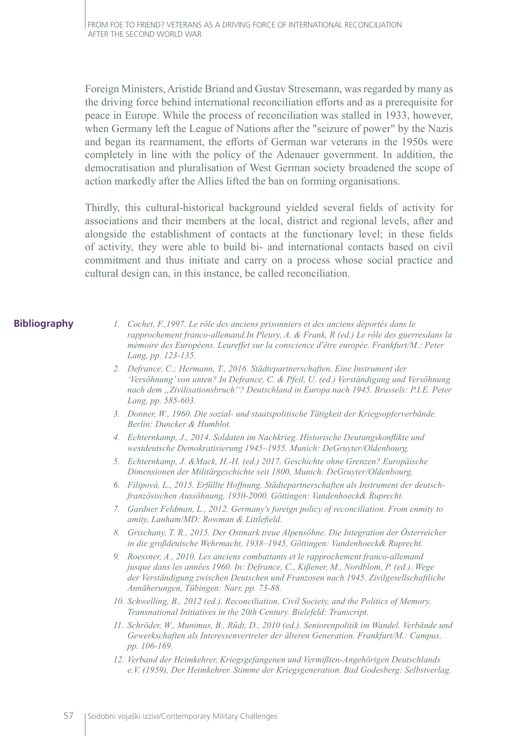Foreign Ministers, Aristide Briand and Gustav Stresemann, was regarded by many as the driving force behind international reconciliation efforts and as a prerequisite for peace in Europe. While the process of reconciliation was stalled in 1933, however, when Germany left the League of Nations after the "seizure of power" by the Nazis and began its rearmament, the efforts of German war veterans in the 1950s were completely in line with the policy of the Adenauer government. In addition, the democratisation and pluralisation of West German society broadened the scope of action markedly after the Allies lifted the ban on forming organisations.

Thirdly, this cultural-historical background yielded several fields of activity for associations and their members at the local, district and regional levels, after and alongside the establishment of contacts at the functionary level; in these fields of activity, they were able to build bi- and international contacts based on civil commitment and thus initiate and carry on a process whose social practice and cultural design can, in this instance, be called reconciliation.

#### **Bibliography**

- *1. Cochet, F.,1997. Le rôle des anciens prisonniers et des anciens déportés dans le rapprochement franco-allemand.In Pleury, A. & Frank, R (ed.) Le rôle des guerresdans la mémoire des Européens. Leureffet sur la conscience d'être europée. Frankfurt/M.: Peter Lang, pp. 123-135.*
- *2. Defrance, C.; Hermann, T., 2016. Städtepartnerschaften. Eine Instrument der 'Versöhnung' von unten? In Defrance, C. & Pfeil, U. (ed.) Verständigung und Versöhnung nach dem "Zivilisationsbruch"? Deutschland in Europa nach 1945. Brussels: P.I.E. Peter Lang, pp. 585-603.*
- *3. Donner, W., 1960. Die sozial- und staatspolitische Tätigkeit der Kriegsopferverbände. Berlin: Duncker & Humblot.*
- *4. Echternkamp, J., 2014. Soldaten im Nachkrieg. Historische Deutungskonflikte und westdeutsche Demokratisierung 1945–1955. Munich: DeGruyter/Oldenbourg.*
- *5. Echternkamp, J. &Mack, H.-H. (ed.) 2017. Geschichte ohne Grenzen? Europäische Dimensionen der Militärgeschichte seit 1800, Munich: DeGruyter/Oldenbourg.*
- *6. Filipová, L., 2015. Erfüllte Hoffnung. Städtepartnerschaften als Instrument der deutschfranzösischen Aussöhnung, 1950-2000. Göttingen: Vandenhoeck& Ruprecht.*
- *7. Gardner Feldman, L., 2012. Germany's foreign policy of reconciliation. From enmity to amity, Lanham/MD: Rowman & Littlefield.*
- *8. Grischany, T. R., 2015. Der Ostmark treue Alpensöhne. Die Integration der Österreicher in die großdeutsche Wehrmacht, 1938–1945, Göttingen: Vandenhoeck& Ruprecht.*
- *9. Roessner, A., 2010. Les anciens combattants et le rapprochement franco-allemand jusque dans les années 1960. In: Defrance, C., Kißener, M., Nordblom, P. (ed.). Wege der Verständigung zwischen Deutschen und Franzosen nach 1945. Zivilgesellschaftliche Annäherungen, Tübingen: Narr, pp. 73-88.*
- *10. Schwelling, B., 2012 (ed.). Reconciliation, Civil Society, and the Politics of Memory. Transnational Initiatives in the 20th Century. Bielefeld: Transcript.*
- *11. Schröder, W., Munimus, B., Rüdt, D., 2010 (ed.). Seniorenpolitik im Wandel. Verbände und Gewerkschaften als Interessenvertreter der älteren Generation. Frankfurt/M.: Campus, pp. 106-169.*
- *12. Verband der Heimkehrer, Kriegsgefangenen und Vermißten-Angehörigen Deutschlands e.V. (1959), Der Heimkehrer. Stimme der Kriegsgeneration. Bad Godesberg: Selbstverlag.*